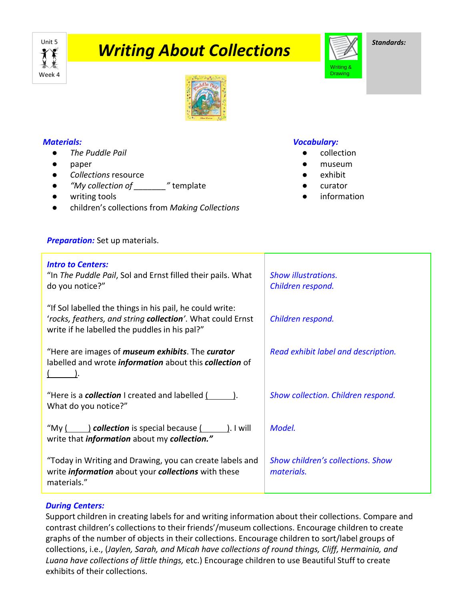

# **Writing About Collections**



*Standards:*



## *Materials:*

- *The Puddle Pail*
- paper
- *Collections* resource
- *"My collection of \_\_\_\_\_\_\_"* template
- writing tools
- children's collections from *Making Collections*

## *Vocabulary:*

- collection
- museum
- exhibit
- curator
- information

| <b>Preparation:</b> Set up materials. |
|---------------------------------------|
|                                       |

| <b>Intro to Centers:</b><br>"In The Puddle Pail, Sol and Ernst filled their pails. What<br>do you notice?"                                                                                                               | <b>Show illustrations.</b><br>Children respond. |
|--------------------------------------------------------------------------------------------------------------------------------------------------------------------------------------------------------------------------|-------------------------------------------------|
| "If Sol labelled the things in his pail, he could write:<br>'rocks, feathers, and string collection'. What could Ernst<br>write if he labelled the puddles in his pal?"                                                  | Children respond.                               |
| "Here are images of <i>museum exhibits</i> . The curator<br>labelled and wrote <i>information</i> about this collection of                                                                                               | Read exhibit label and description.             |
| "Here is a <b>collection</b> I created and labelled ( ).<br>What do you notice?"                                                                                                                                         | Show collection. Children respond.              |
| "My $\left(\begin{array}{c} \begin{array}{c} \end{array}\\ \end{array}\right)$ collection is special because $\left(\begin{array}{c} \end{array}\right)$ . I will<br>write that <i>information</i> about my collection." | Model.                                          |
| "Today in Writing and Drawing, you can create labels and<br>write <i>information</i> about your <i>collections</i> with these<br>materials."                                                                             | Show children's collections. Show<br>materials. |

## *During Centers:*

Support children in creating labels for and writing information about their collections. Compare and contrast children's collections to their friends'/museum collections. Encourage children to create graphs of the number of objects in their collections. Encourage children to sort/label groups of collections, i.e., (*Jaylen, Sarah, and Micah have collections of round things, Cliff, Hermainia, and Luana have collections of little things,* etc.) Encourage children to use Beautiful Stuff to create exhibits of their collections.